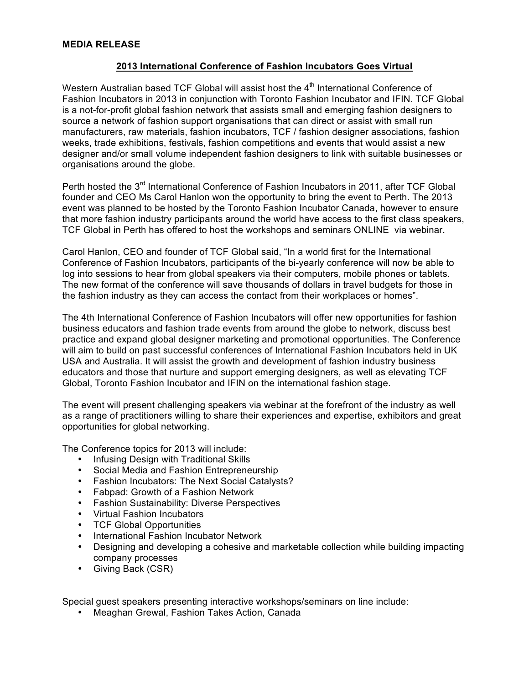## **MEDIA RELEASE**

## **2013 International Conference of Fashion Incubators Goes Virtual**

Western Australian based TCF Global will assist host the 4<sup>th</sup> International Conference of Fashion Incubators in 2013 in conjunction with Toronto Fashion Incubator and IFIN. TCF Global is a not-for-profit global fashion network that assists small and emerging fashion designers to source a network of fashion support organisations that can direct or assist with small run manufacturers, raw materials, fashion incubators, TCF / fashion designer associations, fashion weeks, trade exhibitions, festivals, fashion competitions and events that would assist a new designer and/or small volume independent fashion designers to link with suitable businesses or organisations around the globe.

Perth hosted the 3<sup>rd</sup> International Conference of Fashion Incubators in 2011, after TCF Global founder and CEO Ms Carol Hanlon won the opportunity to bring the event to Perth. The 2013 event was planned to be hosted by the Toronto Fashion Incubator Canada, however to ensure that more fashion industry participants around the world have access to the first class speakers, TCF Global in Perth has offered to host the workshops and seminars ONLINE via webinar.

Carol Hanlon, CEO and founder of TCF Global said, "In a world first for the International Conference of Fashion Incubators, participants of the bi-yearly conference will now be able to log into sessions to hear from global speakers via their computers, mobile phones or tablets. The new format of the conference will save thousands of dollars in travel budgets for those in the fashion industry as they can access the contact from their workplaces or homes".

The 4th International Conference of Fashion Incubators will offer new opportunities for fashion business educators and fashion trade events from around the globe to network, discuss best practice and expand global designer marketing and promotional opportunities. The Conference will aim to build on past successful conferences of International Fashion Incubators held in UK USA and Australia. It will assist the growth and development of fashion industry business educators and those that nurture and support emerging designers, as well as elevating TCF Global, Toronto Fashion Incubator and IFIN on the international fashion stage.

The event will present challenging speakers via webinar at the forefront of the industry as well as a range of practitioners willing to share their experiences and expertise, exhibitors and great opportunities for global networking.

The Conference topics for 2013 will include:

- Infusing Design with Traditional Skills
- Social Media and Fashion Entrepreneurship
- Fashion Incubators: The Next Social Catalysts?
- Fabpad: Growth of a Fashion Network
- Fashion Sustainability: Diverse Perspectives
- Virtual Fashion Incubators
- TCF Global Opportunities
- International Fashion Incubator Network
- Designing and developing a cohesive and marketable collection while building impacting company processes
- Giving Back (CSR)

Special guest speakers presenting interactive workshops/seminars on line include:

• Meaghan Grewal, Fashion Takes Action, Canada